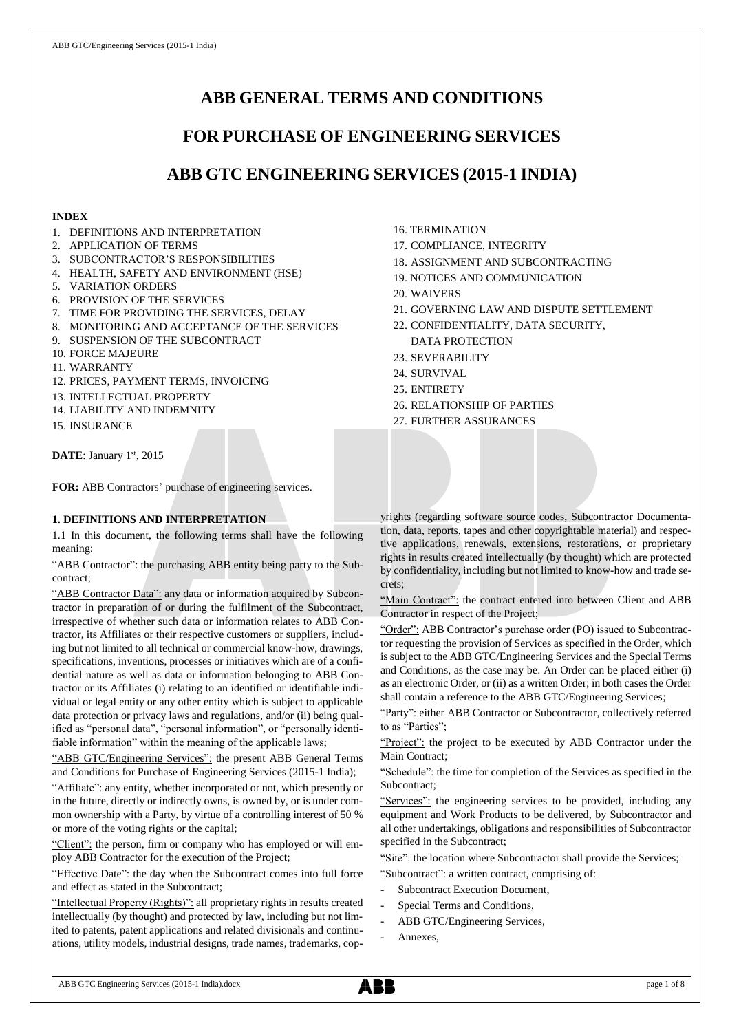# **ABB GENERAL TERMS AND CONDITIONS**

# **FOR PURCHASE OF ENGINEERING SERVICES**

# **ABB GTC ENGINEERING SERVICES (2015-1 INDIA)**

## **INDEX**

- 1. DEFINITIONS AND INTERPRETATION
- 2. APPLICATION OF TERMS
- 3. SUBCONTRACTOR'S RESPONSIBILITIES
- 4. HEALTH, SAFETY AND ENVIRONMENT (HSE)
- 5. VARIATION ORDERS
- 6. PROVISION OF THE SERVICES
- 7. TIME FOR PROVIDING THE SERVICES, DELAY
- 8. MONITORING AND ACCEPTANCE OF THE SERVICES
- 9. SUSPENSION OF THE SUBCONTRACT
- 10. FORCE MAJEURE
- 11. WARRANTY
- 12. PRICES, PAYMENT TERMS, INVOICING
- 13. INTELLECTUAL PROPERTY
- 14. LIABILITY AND INDEMNITY
- 15. INSURANCE

DATE: January 1st, 2015

**FOR:** ABB Contractors' purchase of engineering services.

## **1. DEFINITIONS AND INTERPRETATION**

1.1 In this document, the following terms shall have the following meaning:

"ABB Contractor": the purchasing ABB entity being party to the Subcontract;

"ABB Contractor Data": any data or information acquired by Subcontractor in preparation of or during the fulfilment of the Subcontract, irrespective of whether such data or information relates to ABB Contractor, its Affiliates or their respective customers or suppliers, including but not limited to all technical or commercial know-how, drawings, specifications, inventions, processes or initiatives which are of a confidential nature as well as data or information belonging to ABB Contractor or its Affiliates (i) relating to an identified or identifiable individual or legal entity or any other entity which is subject to applicable data protection or privacy laws and regulations, and/or (ii) being qualified as "personal data", "personal information", or "personally identifiable information" within the meaning of the applicable laws;

"ABB GTC/Engineering Services": the present ABB General Terms and Conditions for Purchase of Engineering Services (2015-1 India);

"Affiliate": any entity, whether incorporated or not, which presently or in the future, directly or indirectly owns, is owned by, or is under common ownership with a Party, by virtue of a controlling interest of 50 % or more of the voting rights or the capital;

"Client": the person, firm or company who has employed or will employ ABB Contractor for the execution of the Project;

"Effective Date": the day when the Subcontract comes into full force and effect as stated in the Subcontract;

"Intellectual Property (Rights)": all proprietary rights in results created intellectually (by thought) and protected by law, including but not limited to patents, patent applications and related divisionals and continuations, utility models, industrial designs, trade names, trademarks, cop-

- 16. TERMINATION
- 17. COMPLIANCE, INTEGRITY
- 18. ASSIGNMENT AND SUBCONTRACTING
- 19. NOTICES AND COMMUNICATION
- 20. WAIVERS
- 21. GOVERNING LAW AND DISPUTE SETTLEMENT
- 22. CONFIDENTIALITY, DATA SECURITY, DATA PROTECTION
- 23. SEVERABILITY
- 24. SURVIVAL
- 25. ENTIRETY
- 26. RELATIONSHIP OF PARTIES

27. FURTHER ASSURANCES

yrights (regarding software source codes, Subcontractor Documentation, data, reports, tapes and other copyrightable material) and respective applications, renewals, extensions, restorations, or proprietary rights in results created intellectually (by thought) which are protected by confidentiality, including but not limited to know-how and trade secrets;

"Main Contract": the contract entered into between Client and ABB Contractor in respect of the Project;

"Order": ABB Contractor's purchase order (PO) issued to Subcontractor requesting the provision of Services as specified in the Order, which is subject to the ABB GTC/Engineering Services and the Special Terms and Conditions, as the case may be. An Order can be placed either (i) as an electronic Order, or (ii) as a written Order; in both cases the Order shall contain a reference to the ABB GTC/Engineering Services;

"Party": either ABB Contractor or Subcontractor, collectively referred to as "Parties";

"Project": the project to be executed by ABB Contractor under the Main Contract;

"Schedule": the time for completion of the Services as specified in the Subcontract;

"Services": the engineering services to be provided, including any equipment and Work Products to be delivered, by Subcontractor and all other undertakings, obligations and responsibilities of Subcontractor specified in the Subcontract;

"Site": the location where Subcontractor shall provide the Services;

- "Subcontract": a written contract, comprising of:
- Subcontract Execution Document,
- Special Terms and Conditions,
- ABB GTC/Engineering Services,
- Annexes.

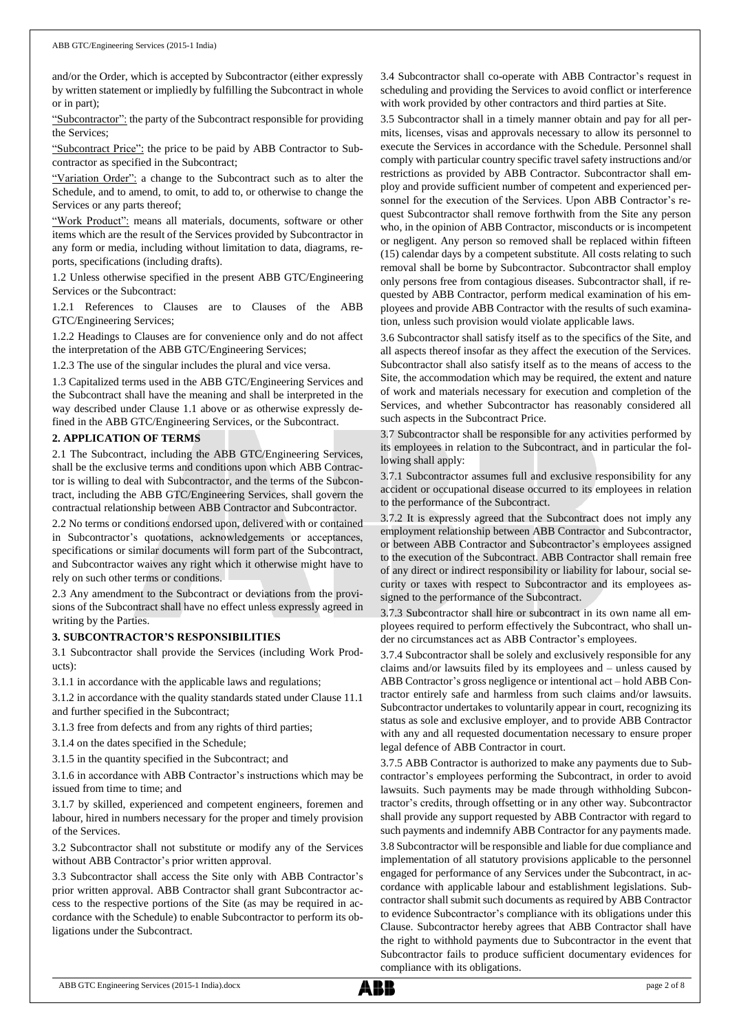and/or the Order, which is accepted by Subcontractor (either expressly by written statement or impliedly by fulfilling the Subcontract in whole or in part);

"Subcontractor": the party of the Subcontract responsible for providing the Services;

"Subcontract Price": the price to be paid by ABB Contractor to Subcontractor as specified in the Subcontract;

"Variation Order": a change to the Subcontract such as to alter the Schedule, and to amend, to omit, to add to, or otherwise to change the Services or any parts thereof;

"Work Product": means all materials, documents, software or other items which are the result of the Services provided by Subcontractor in any form or media, including without limitation to data, diagrams, reports, specifications (including drafts).

1.2 Unless otherwise specified in the present ABB GTC/Engineering Services or the Subcontract:

1.2.1 References to Clauses are to Clauses of the ABB GTC/Engineering Services;

1.2.2 Headings to Clauses are for convenience only and do not affect the interpretation of the ABB GTC/Engineering Services;

1.2.3 The use of the singular includes the plural and vice versa.

1.3 Capitalized terms used in the ABB GTC/Engineering Services and the Subcontract shall have the meaning and shall be interpreted in the way described under Clause 1.1 above or as otherwise expressly defined in the ABB GTC/Engineering Services, or the Subcontract.

## **2. APPLICATION OF TERMS**

2.1 The Subcontract, including the ABB GTC/Engineering Services, shall be the exclusive terms and conditions upon which ABB Contractor is willing to deal with Subcontractor, and the terms of the Subcontract, including the ABB GTC/Engineering Services, shall govern the contractual relationship between ABB Contractor and Subcontractor.

2.2 No terms or conditions endorsed upon, delivered with or contained in Subcontractor's quotations, acknowledgements or acceptances, specifications or similar documents will form part of the Subcontract, and Subcontractor waives any right which it otherwise might have to rely on such other terms or conditions.

2.3 Any amendment to the Subcontract or deviations from the provisions of the Subcontract shall have no effect unless expressly agreed in writing by the Parties.

## **3. SUBCONTRACTOR'S RESPONSIBILITIES**

3.1 Subcontractor shall provide the Services (including Work Products):

3.1.1 in accordance with the applicable laws and regulations;

3.1.2 in accordance with the quality standards stated under Clause 11.1 and further specified in the Subcontract;

3.1.3 free from defects and from any rights of third parties;

3.1.4 on the dates specified in the Schedule;

3.1.5 in the quantity specified in the Subcontract; and

3.1.6 in accordance with ABB Contractor's instructions which may be issued from time to time; and

3.1.7 by skilled, experienced and competent engineers, foremen and labour, hired in numbers necessary for the proper and timely provision of the Services.

3.2 Subcontractor shall not substitute or modify any of the Services without ABB Contractor's prior written approval.

3.3 Subcontractor shall access the Site only with ABB Contractor's prior written approval. ABB Contractor shall grant Subcontractor access to the respective portions of the Site (as may be required in accordance with the Schedule) to enable Subcontractor to perform its obligations under the Subcontract.

3.4 Subcontractor shall co-operate with ABB Contractor's request in scheduling and providing the Services to avoid conflict or interference with work provided by other contractors and third parties at Site.

3.5 Subcontractor shall in a timely manner obtain and pay for all permits, licenses, visas and approvals necessary to allow its personnel to execute the Services in accordance with the Schedule. Personnel shall comply with particular country specific travel safety instructions and/or restrictions as provided by ABB Contractor. Subcontractor shall employ and provide sufficient number of competent and experienced personnel for the execution of the Services. Upon ABB Contractor's request Subcontractor shall remove forthwith from the Site any person who, in the opinion of ABB Contractor, misconducts or is incompetent or negligent. Any person so removed shall be replaced within fifteen (15) calendar days by a competent substitute. All costs relating to such removal shall be borne by Subcontractor. Subcontractor shall employ only persons free from contagious diseases. Subcontractor shall, if requested by ABB Contractor, perform medical examination of his employees and provide ABB Contractor with the results of such examination, unless such provision would violate applicable laws.

3.6 Subcontractor shall satisfy itself as to the specifics of the Site, and all aspects thereof insofar as they affect the execution of the Services. Subcontractor shall also satisfy itself as to the means of access to the Site, the accommodation which may be required, the extent and nature of work and materials necessary for execution and completion of the Services, and whether Subcontractor has reasonably considered all such aspects in the Subcontract Price.

3.7 Subcontractor shall be responsible for any activities performed by its employees in relation to the Subcontract, and in particular the following shall apply:

3.7.1 Subcontractor assumes full and exclusive responsibility for any accident or occupational disease occurred to its employees in relation to the performance of the Subcontract.

3.7.2 It is expressly agreed that the Subcontract does not imply any employment relationship between ABB Contractor and Subcontractor, or between ABB Contractor and Subcontractor's employees assigned to the execution of the Subcontract. ABB Contractor shall remain free of any direct or indirect responsibility or liability for labour, social security or taxes with respect to Subcontractor and its employees assigned to the performance of the Subcontract.

3.7.3 Subcontractor shall hire or subcontract in its own name all employees required to perform effectively the Subcontract, who shall under no circumstances act as ABB Contractor's employees.

3.7.4 Subcontractor shall be solely and exclusively responsible for any claims and/or lawsuits filed by its employees and – unless caused by ABB Contractor's gross negligence or intentional act – hold ABB Contractor entirely safe and harmless from such claims and/or lawsuits. Subcontractor undertakes to voluntarily appear in court, recognizing its status as sole and exclusive employer, and to provide ABB Contractor with any and all requested documentation necessary to ensure proper legal defence of ABB Contractor in court.

3.7.5 ABB Contractor is authorized to make any payments due to Subcontractor's employees performing the Subcontract, in order to avoid lawsuits. Such payments may be made through withholding Subcontractor's credits, through offsetting or in any other way. Subcontractor shall provide any support requested by ABB Contractor with regard to such payments and indemnify ABB Contractor for any payments made.

3.8 Subcontractor will be responsible and liable for due compliance and implementation of all statutory provisions applicable to the personnel engaged for performance of any Services under the Subcontract, in accordance with applicable labour and establishment legislations. Subcontractor shall submit such documents as required by ABB Contractor to evidence Subcontractor's compliance with its obligations under this Clause. Subcontractor hereby agrees that ABB Contractor shall have the right to withhold payments due to Subcontractor in the event that Subcontractor fails to produce sufficient documentary evidences for compliance with its obligations.

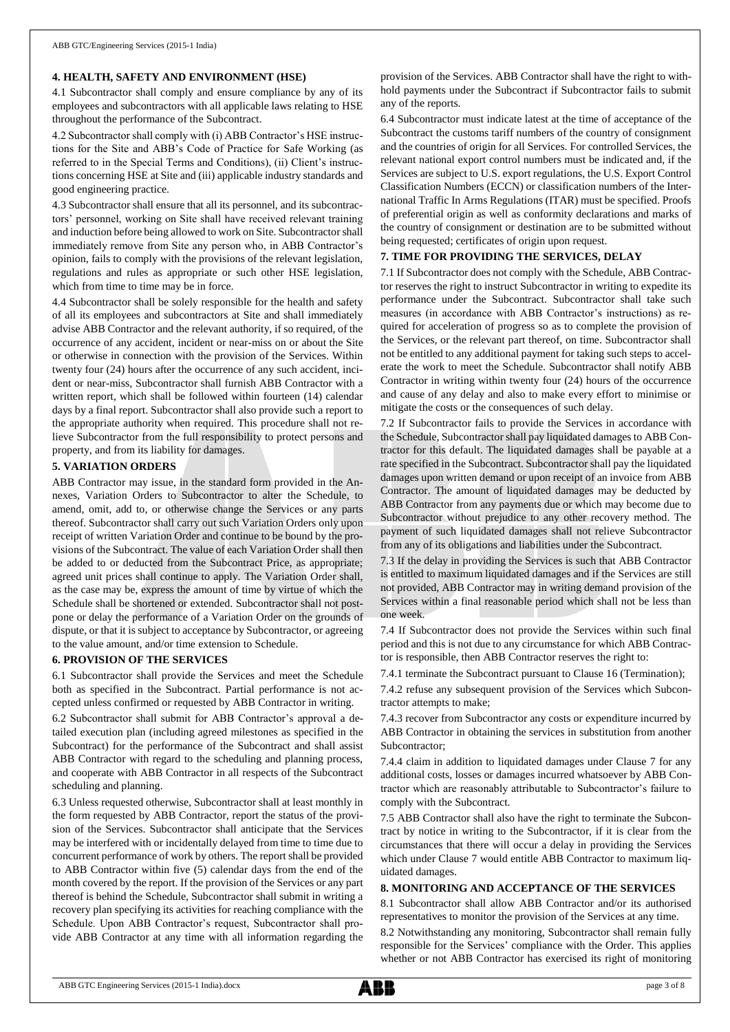## **4. HEALTH, SAFETY AND ENVIRONMENT (HSE)**

4.1 Subcontractor shall comply and ensure compliance by any of its employees and subcontractors with all applicable laws relating to HSE throughout the performance of the Subcontract.

4.2 Subcontractor shall comply with (i) ABB Contractor's HSE instructions for the Site and ABB's Code of Practice for Safe Working (as referred to in the Special Terms and Conditions), (ii) Client's instructions concerning HSE at Site and (iii) applicable industry standards and good engineering practice.

4.3 Subcontractor shall ensure that all its personnel, and its subcontractors' personnel, working on Site shall have received relevant training and induction before being allowed to work on Site. Subcontractor shall immediately remove from Site any person who, in ABB Contractor's opinion, fails to comply with the provisions of the relevant legislation, regulations and rules as appropriate or such other HSE legislation, which from time to time may be in force.

4.4 Subcontractor shall be solely responsible for the health and safety of all its employees and subcontractors at Site and shall immediately advise ABB Contractor and the relevant authority, if so required, of the occurrence of any accident, incident or near-miss on or about the Site or otherwise in connection with the provision of the Services. Within twenty four (24) hours after the occurrence of any such accident, incident or near-miss, Subcontractor shall furnish ABB Contractor with a written report, which shall be followed within fourteen (14) calendar days by a final report. Subcontractor shall also provide such a report to the appropriate authority when required. This procedure shall not relieve Subcontractor from the full responsibility to protect persons and property, and from its liability for damages.

## **5. VARIATION ORDERS**

ABB Contractor may issue, in the standard form provided in the Annexes, Variation Orders to Subcontractor to alter the Schedule, to amend, omit, add to, or otherwise change the Services or any parts thereof. Subcontractor shall carry out such Variation Orders only upon receipt of written Variation Order and continue to be bound by the provisions of the Subcontract. The value of each Variation Order shall then be added to or deducted from the Subcontract Price, as appropriate; agreed unit prices shall continue to apply. The Variation Order shall, as the case may be, express the amount of time by virtue of which the Schedule shall be shortened or extended. Subcontractor shall not postpone or delay the performance of a Variation Order on the grounds of dispute, or that it is subject to acceptance by Subcontractor, or agreeing to the value amount, and/or time extension to Schedule.

## **6. PROVISION OF THE SERVICES**

6.1 Subcontractor shall provide the Services and meet the Schedule both as specified in the Subcontract. Partial performance is not accepted unless confirmed or requested by ABB Contractor in writing.

6.2 Subcontractor shall submit for ABB Contractor's approval a detailed execution plan (including agreed milestones as specified in the Subcontract) for the performance of the Subcontract and shall assist ABB Contractor with regard to the scheduling and planning process, and cooperate with ABB Contractor in all respects of the Subcontract scheduling and planning.

6.3 Unless requested otherwise, Subcontractor shall at least monthly in the form requested by ABB Contractor, report the status of the provision of the Services. Subcontractor shall anticipate that the Services may be interfered with or incidentally delayed from time to time due to concurrent performance of work by others. The report shall be provided to ABB Contractor within five (5) calendar days from the end of the month covered by the report. If the provision of the Services or any part thereof is behind the Schedule, Subcontractor shall submit in writing a recovery plan specifying its activities for reaching compliance with the Schedule. Upon ABB Contractor's request, Subcontractor shall provide ABB Contractor at any time with all information regarding the provision of the Services. ABB Contractor shall have the right to withhold payments under the Subcontract if Subcontractor fails to submit any of the reports.

6.4 Subcontractor must indicate latest at the time of acceptance of the Subcontract the customs tariff numbers of the country of consignment and the countries of origin for all Services. For controlled Services, the relevant national export control numbers must be indicated and, if the Services are subject to U.S. export regulations, the U.S. Export Control Classification Numbers (ECCN) or classification numbers of the International Traffic In Arms Regulations (ITAR) must be specified. Proofs of preferential origin as well as conformity declarations and marks of the country of consignment or destination are to be submitted without being requested; certificates of origin upon request.

## **7. TIME FOR PROVIDING THE SERVICES, DELAY**

7.1 If Subcontractor does not comply with the Schedule, ABB Contractor reserves the right to instruct Subcontractor in writing to expedite its performance under the Subcontract. Subcontractor shall take such measures (in accordance with ABB Contractor's instructions) as required for acceleration of progress so as to complete the provision of the Services, or the relevant part thereof, on time. Subcontractor shall not be entitled to any additional payment for taking such steps to accelerate the work to meet the Schedule. Subcontractor shall notify ABB Contractor in writing within twenty four (24) hours of the occurrence and cause of any delay and also to make every effort to minimise or mitigate the costs or the consequences of such delay.

7.2 If Subcontractor fails to provide the Services in accordance with the Schedule, Subcontractor shall pay liquidated damages to ABB Contractor for this default. The liquidated damages shall be payable at a rate specified in the Subcontract. Subcontractor shall pay the liquidated damages upon written demand or upon receipt of an invoice from ABB Contractor. The amount of liquidated damages may be deducted by ABB Contractor from any payments due or which may become due to Subcontractor without prejudice to any other recovery method. The payment of such liquidated damages shall not relieve Subcontractor from any of its obligations and liabilities under the Subcontract.

7.3 If the delay in providing the Services is such that ABB Contractor is entitled to maximum liquidated damages and if the Services are still not provided, ABB Contractor may in writing demand provision of the Services within a final reasonable period which shall not be less than one week.

7.4 If Subcontractor does not provide the Services within such final period and this is not due to any circumstance for which ABB Contractor is responsible, then ABB Contractor reserves the right to:

7.4.1 terminate the Subcontract pursuant to Clause 16 (Termination);

7.4.2 refuse any subsequent provision of the Services which Subcontractor attempts to make;

7.4.3 recover from Subcontractor any costs or expenditure incurred by ABB Contractor in obtaining the services in substitution from another Subcontractor;

7.4.4 claim in addition to liquidated damages under Clause 7 for any additional costs, losses or damages incurred whatsoever by ABB Contractor which are reasonably attributable to Subcontractor's failure to comply with the Subcontract.

7.5 ABB Contractor shall also have the right to terminate the Subcontract by notice in writing to the Subcontractor, if it is clear from the circumstances that there will occur a delay in providing the Services which under Clause 7 would entitle ABB Contractor to maximum liquidated damages.

## **8. MONITORING AND ACCEPTANCE OF THE SERVICES**

8.1 Subcontractor shall allow ABB Contractor and/or its authorised representatives to monitor the provision of the Services at any time.

8.2 Notwithstanding any monitoring, Subcontractor shall remain fully responsible for the Services' compliance with the Order. This applies whether or not ABB Contractor has exercised its right of monitoring

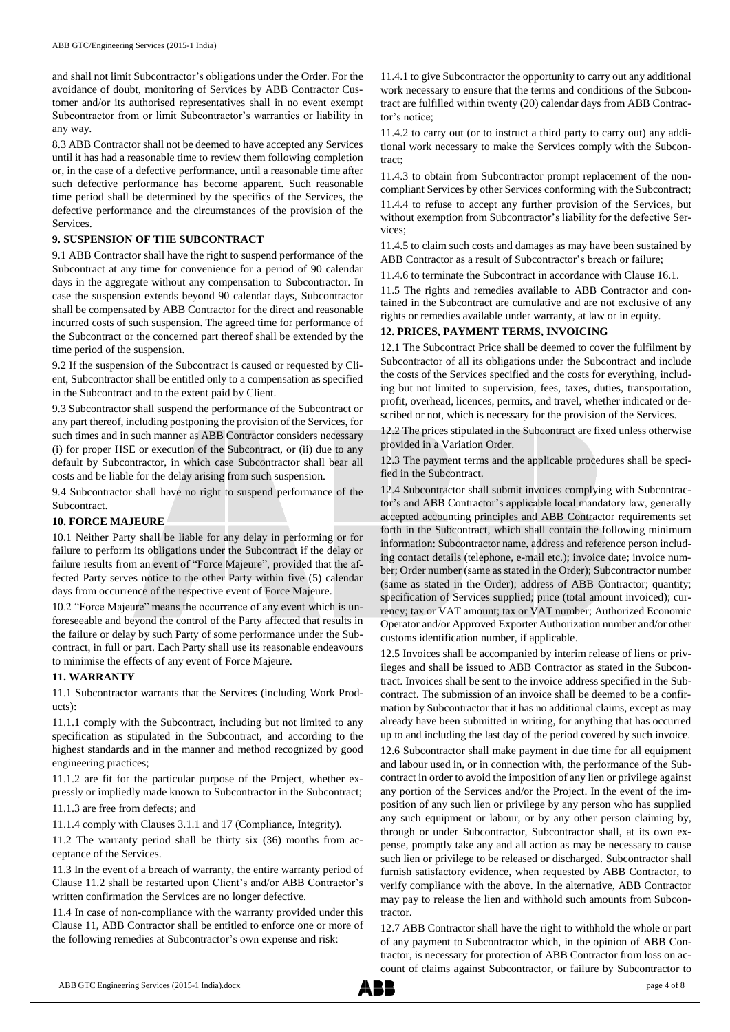and shall not limit Subcontractor's obligations under the Order. For the avoidance of doubt, monitoring of Services by ABB Contractor Customer and/or its authorised representatives shall in no event exempt Subcontractor from or limit Subcontractor's warranties or liability in any way.

8.3 ABB Contractor shall not be deemed to have accepted any Services until it has had a reasonable time to review them following completion or, in the case of a defective performance, until a reasonable time after such defective performance has become apparent. Such reasonable time period shall be determined by the specifics of the Services, the defective performance and the circumstances of the provision of the Services.

## **9. SUSPENSION OF THE SUBCONTRACT**

9.1 ABB Contractor shall have the right to suspend performance of the Subcontract at any time for convenience for a period of 90 calendar days in the aggregate without any compensation to Subcontractor. In case the suspension extends beyond 90 calendar days, Subcontractor shall be compensated by ABB Contractor for the direct and reasonable incurred costs of such suspension. The agreed time for performance of the Subcontract or the concerned part thereof shall be extended by the time period of the suspension.

9.2 If the suspension of the Subcontract is caused or requested by Client, Subcontractor shall be entitled only to a compensation as specified in the Subcontract and to the extent paid by Client.

9.3 Subcontractor shall suspend the performance of the Subcontract or any part thereof, including postponing the provision of the Services, for such times and in such manner as ABB Contractor considers necessary (i) for proper HSE or execution of the Subcontract, or (ii) due to any default by Subcontractor, in which case Subcontractor shall bear all costs and be liable for the delay arising from such suspension.

9.4 Subcontractor shall have no right to suspend performance of the Subcontract.

## **10. FORCE MAJEURE**

10.1 Neither Party shall be liable for any delay in performing or for failure to perform its obligations under the Subcontract if the delay or failure results from an event of "Force Majeure", provided that the affected Party serves notice to the other Party within five (5) calendar days from occurrence of the respective event of Force Majeure.

10.2 "Force Majeure" means the occurrence of any event which is unforeseeable and beyond the control of the Party affected that results in the failure or delay by such Party of some performance under the Subcontract, in full or part. Each Party shall use its reasonable endeavours to minimise the effects of any event of Force Majeure.

## **11. WARRANTY**

11.1 Subcontractor warrants that the Services (including Work Products):

11.1.1 comply with the Subcontract, including but not limited to any specification as stipulated in the Subcontract, and according to the highest standards and in the manner and method recognized by good engineering practices;

11.1.2 are fit for the particular purpose of the Project, whether expressly or impliedly made known to Subcontractor in the Subcontract;

11.1.3 are free from defects; and

11.1.4 comply with Clauses 3.1.1 and 17 (Compliance, Integrity).

11.2 The warranty period shall be thirty six (36) months from acceptance of the Services.

11.3 In the event of a breach of warranty, the entire warranty period of Clause 11.2 shall be restarted upon Client's and/or ABB Contractor's written confirmation the Services are no longer defective.

11.4 In case of non-compliance with the warranty provided under this Clause 11, ABB Contractor shall be entitled to enforce one or more of the following remedies at Subcontractor's own expense and risk:

11.4.1 to give Subcontractor the opportunity to carry out any additional work necessary to ensure that the terms and conditions of the Subcontract are fulfilled within twenty (20) calendar days from ABB Contractor's notice;

11.4.2 to carry out (or to instruct a third party to carry out) any additional work necessary to make the Services comply with the Subcontract;

11.4.3 to obtain from Subcontractor prompt replacement of the noncompliant Services by other Services conforming with the Subcontract; 11.4.4 to refuse to accept any further provision of the Services, but without exemption from Subcontractor's liability for the defective Services;

11.4.5 to claim such costs and damages as may have been sustained by ABB Contractor as a result of Subcontractor's breach or failure;

11.4.6 to terminate the Subcontract in accordance with Clause 16.1.

11.5 The rights and remedies available to ABB Contractor and contained in the Subcontract are cumulative and are not exclusive of any rights or remedies available under warranty, at law or in equity.

## **12. PRICES, PAYMENT TERMS, INVOICING**

12.1 The Subcontract Price shall be deemed to cover the fulfilment by Subcontractor of all its obligations under the Subcontract and include the costs of the Services specified and the costs for everything, including but not limited to supervision, fees, taxes, duties, transportation, profit, overhead, licences, permits, and travel, whether indicated or described or not, which is necessary for the provision of the Services.

12.2 The prices stipulated in the Subcontract are fixed unless otherwise provided in a Variation Order.

12.3 The payment terms and the applicable procedures shall be specified in the Subcontract.

12.4 Subcontractor shall submit invoices complying with Subcontractor's and ABB Contractor's applicable local mandatory law, generally accepted accounting principles and ABB Contractor requirements set forth in the Subcontract, which shall contain the following minimum information: Subcontractor name, address and reference person including contact details (telephone, e-mail etc.); invoice date; invoice number; Order number (same as stated in the Order); Subcontractor number (same as stated in the Order); address of ABB Contractor; quantity; specification of Services supplied; price (total amount invoiced); currency; tax or VAT amount; tax or VAT number; Authorized Economic Operator and/or Approved Exporter Authorization number and/or other customs identification number, if applicable.

12.5 Invoices shall be accompanied by interim release of liens or privileges and shall be issued to ABB Contractor as stated in the Subcontract. Invoices shall be sent to the invoice address specified in the Subcontract. The submission of an invoice shall be deemed to be a confirmation by Subcontractor that it has no additional claims, except as may already have been submitted in writing, for anything that has occurred up to and including the last day of the period covered by such invoice. 12.6 Subcontractor shall make payment in due time for all equipment and labour used in, or in connection with, the performance of the Subcontract in order to avoid the imposition of any lien or privilege against any portion of the Services and/or the Project. In the event of the imposition of any such lien or privilege by any person who has supplied any such equipment or labour, or by any other person claiming by, through or under Subcontractor, Subcontractor shall, at its own expense, promptly take any and all action as may be necessary to cause such lien or privilege to be released or discharged. Subcontractor shall furnish satisfactory evidence, when requested by ABB Contractor, to verify compliance with the above. In the alternative, ABB Contractor may pay to release the lien and withhold such amounts from Subcontractor.

12.7 ABB Contractor shall have the right to withhold the whole or part of any payment to Subcontractor which, in the opinion of ABB Contractor, is necessary for protection of ABB Contractor from loss on account of claims against Subcontractor, or failure by Subcontractor to

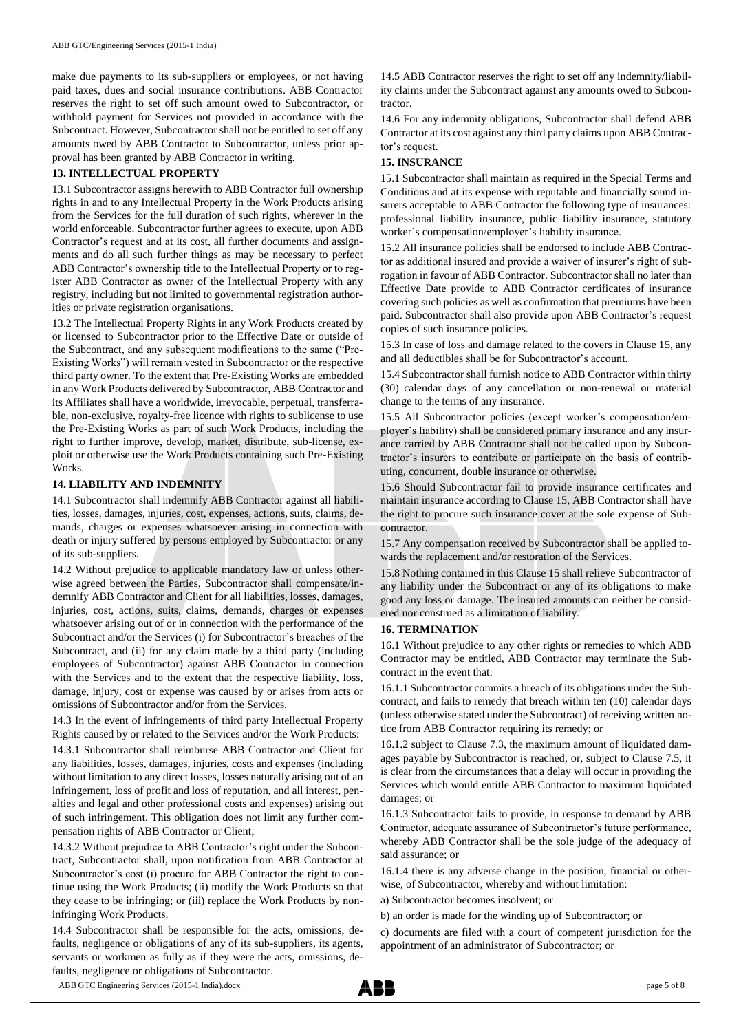make due payments to its sub-suppliers or employees, or not having paid taxes, dues and social insurance contributions. ABB Contractor reserves the right to set off such amount owed to Subcontractor, or withhold payment for Services not provided in accordance with the Subcontract. However, Subcontractor shall not be entitled to set off any amounts owed by ABB Contractor to Subcontractor, unless prior approval has been granted by ABB Contractor in writing.

## **13. INTELLECTUAL PROPERTY**

13.1 Subcontractor assigns herewith to ABB Contractor full ownership rights in and to any Intellectual Property in the Work Products arising from the Services for the full duration of such rights, wherever in the world enforceable. Subcontractor further agrees to execute, upon ABB Contractor's request and at its cost, all further documents and assignments and do all such further things as may be necessary to perfect ABB Contractor's ownership title to the Intellectual Property or to register ABB Contractor as owner of the Intellectual Property with any registry, including but not limited to governmental registration authorities or private registration organisations.

13.2 The Intellectual Property Rights in any Work Products created by or licensed to Subcontractor prior to the Effective Date or outside of the Subcontract, and any subsequent modifications to the same ("Pre-Existing Works") will remain vested in Subcontractor or the respective third party owner. To the extent that Pre-Existing Works are embedded in any Work Products delivered by Subcontractor, ABB Contractor and its Affiliates shall have a worldwide, irrevocable, perpetual, transferrable, non-exclusive, royalty-free licence with rights to sublicense to use the Pre-Existing Works as part of such Work Products, including the right to further improve, develop, market, distribute, sub-license, exploit or otherwise use the Work Products containing such Pre-Existing **Works** 

#### **14. LIABILITY AND INDEMNITY**

14.1 Subcontractor shall indemnify ABB Contractor against all liabilities, losses, damages, injuries, cost, expenses, actions, suits, claims, demands, charges or expenses whatsoever arising in connection with death or injury suffered by persons employed by Subcontractor or any of its sub-suppliers.

14.2 Without prejudice to applicable mandatory law or unless otherwise agreed between the Parties, Subcontractor shall compensate/indemnify ABB Contractor and Client for all liabilities, losses, damages, injuries, cost, actions, suits, claims, demands, charges or expenses whatsoever arising out of or in connection with the performance of the Subcontract and/or the Services (i) for Subcontractor's breaches of the Subcontract, and (ii) for any claim made by a third party (including employees of Subcontractor) against ABB Contractor in connection with the Services and to the extent that the respective liability, loss, damage, injury, cost or expense was caused by or arises from acts or omissions of Subcontractor and/or from the Services.

14.3 In the event of infringements of third party Intellectual Property Rights caused by or related to the Services and/or the Work Products:

14.3.1 Subcontractor shall reimburse ABB Contractor and Client for any liabilities, losses, damages, injuries, costs and expenses (including without limitation to any direct losses, losses naturally arising out of an infringement, loss of profit and loss of reputation, and all interest, penalties and legal and other professional costs and expenses) arising out of such infringement. This obligation does not limit any further compensation rights of ABB Contractor or Client;

14.3.2 Without prejudice to ABB Contractor's right under the Subcontract, Subcontractor shall, upon notification from ABB Contractor at Subcontractor's cost (i) procure for ABB Contractor the right to continue using the Work Products; (ii) modify the Work Products so that they cease to be infringing; or (iii) replace the Work Products by noninfringing Work Products.

14.4 Subcontractor shall be responsible for the acts, omissions, defaults, negligence or obligations of any of its sub-suppliers, its agents, servants or workmen as fully as if they were the acts, omissions, defaults, negligence or obligations of Subcontractor.

14.5 ABB Contractor reserves the right to set off any indemnity/liability claims under the Subcontract against any amounts owed to Subcontractor.

14.6 For any indemnity obligations, Subcontractor shall defend ABB Contractor at its cost against any third party claims upon ABB Contractor's request.

## **15. INSURANCE**

15.1 Subcontractor shall maintain as required in the Special Terms and Conditions and at its expense with reputable and financially sound insurers acceptable to ABB Contractor the following type of insurances: professional liability insurance, public liability insurance, statutory worker's compensation/employer's liability insurance.

15.2 All insurance policies shall be endorsed to include ABB Contractor as additional insured and provide a waiver of insurer's right of subrogation in favour of ABB Contractor. Subcontractor shall no later than Effective Date provide to ABB Contractor certificates of insurance covering such policies as well as confirmation that premiums have been paid. Subcontractor shall also provide upon ABB Contractor's request copies of such insurance policies.

15.3 In case of loss and damage related to the covers in Clause 15, any and all deductibles shall be for Subcontractor's account.

15.4 Subcontractor shall furnish notice to ABB Contractor within thirty (30) calendar days of any cancellation or non-renewal or material change to the terms of any insurance.

15.5 All Subcontractor policies (except worker's compensation/employer's liability) shall be considered primary insurance and any insurance carried by ABB Contractor shall not be called upon by Subcontractor's insurers to contribute or participate on the basis of contributing, concurrent, double insurance or otherwise.

15.6 Should Subcontractor fail to provide insurance certificates and maintain insurance according to Clause 15, ABB Contractor shall have the right to procure such insurance cover at the sole expense of Subcontractor.

15.7 Any compensation received by Subcontractor shall be applied towards the replacement and/or restoration of the Services.

15.8 Nothing contained in this Clause 15 shall relieve Subcontractor of any liability under the Subcontract or any of its obligations to make good any loss or damage. The insured amounts can neither be considered nor construed as a limitation of liability.

## **16. TERMINATION**

16.1 Without prejudice to any other rights or remedies to which ABB Contractor may be entitled, ABB Contractor may terminate the Subcontract in the event that:

16.1.1 Subcontractor commits a breach of its obligations under the Subcontract, and fails to remedy that breach within ten (10) calendar days (unless otherwise stated under the Subcontract) of receiving written notice from ABB Contractor requiring its remedy; or

16.1.2 subject to Clause 7.3, the maximum amount of liquidated damages payable by Subcontractor is reached, or, subject to Clause 7.5, it is clear from the circumstances that a delay will occur in providing the Services which would entitle ABB Contractor to maximum liquidated damages; or

16.1.3 Subcontractor fails to provide, in response to demand by ABB Contractor, adequate assurance of Subcontractor's future performance, whereby ABB Contractor shall be the sole judge of the adequacy of said assurance; or

16.1.4 there is any adverse change in the position, financial or otherwise, of Subcontractor, whereby and without limitation:

a) Subcontractor becomes insolvent; or

b) an order is made for the winding up of Subcontractor; or

c) documents are filed with a court of competent jurisdiction for the appointment of an administrator of Subcontractor; or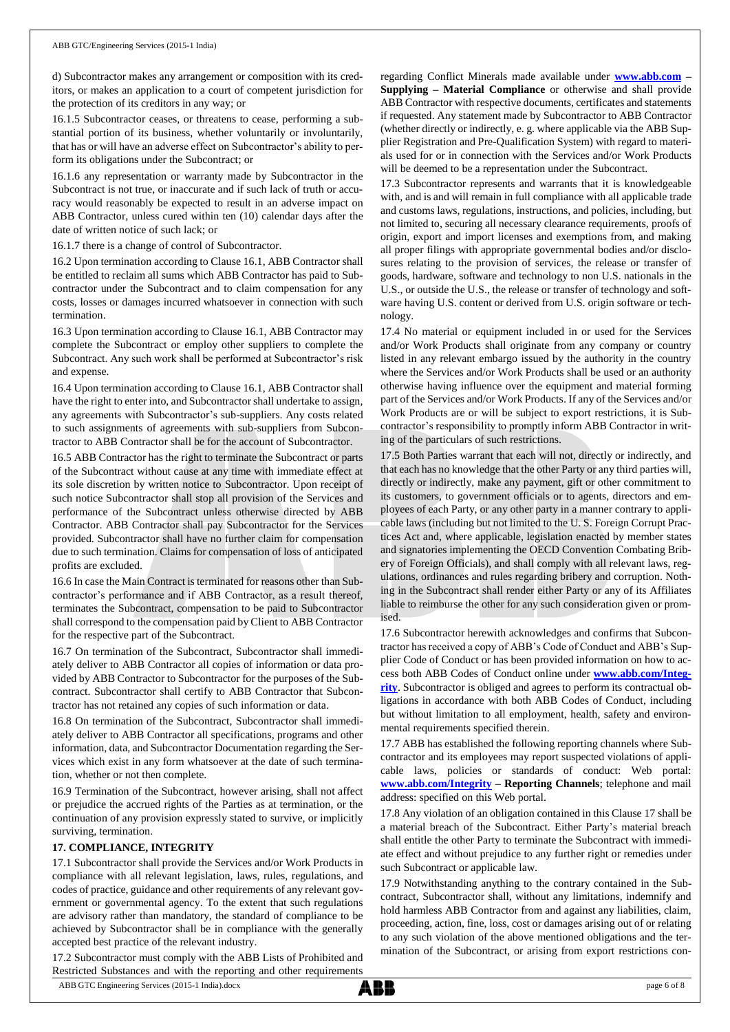d) Subcontractor makes any arrangement or composition with its creditors, or makes an application to a court of competent jurisdiction for the protection of its creditors in any way; or

16.1.5 Subcontractor ceases, or threatens to cease, performing a substantial portion of its business, whether voluntarily or involuntarily, that has or will have an adverse effect on Subcontractor's ability to perform its obligations under the Subcontract; or

16.1.6 any representation or warranty made by Subcontractor in the Subcontract is not true, or inaccurate and if such lack of truth or accuracy would reasonably be expected to result in an adverse impact on ABB Contractor, unless cured within ten (10) calendar days after the date of written notice of such lack; or

16.1.7 there is a change of control of Subcontractor.

16.2 Upon termination according to Clause 16.1, ABB Contractor shall be entitled to reclaim all sums which ABB Contractor has paid to Subcontractor under the Subcontract and to claim compensation for any costs, losses or damages incurred whatsoever in connection with such termination.

16.3 Upon termination according to Clause 16.1, ABB Contractor may complete the Subcontract or employ other suppliers to complete the Subcontract. Any such work shall be performed at Subcontractor's risk and expense.

16.4 Upon termination according to Clause 16.1, ABB Contractor shall have the right to enter into, and Subcontractor shall undertake to assign, any agreements with Subcontractor's sub-suppliers. Any costs related to such assignments of agreements with sub-suppliers from Subcontractor to ABB Contractor shall be for the account of Subcontractor.

16.5 ABB Contractor has the right to terminate the Subcontract or parts of the Subcontract without cause at any time with immediate effect at its sole discretion by written notice to Subcontractor. Upon receipt of such notice Subcontractor shall stop all provision of the Services and performance of the Subcontract unless otherwise directed by ABB Contractor. ABB Contractor shall pay Subcontractor for the Services provided. Subcontractor shall have no further claim for compensation due to such termination. Claims for compensation of loss of anticipated profits are excluded.

16.6 In case the Main Contract is terminated for reasons other than Subcontractor's performance and if ABB Contractor, as a result thereof, terminates the Subcontract, compensation to be paid to Subcontractor shall correspond to the compensation paid by Client to ABB Contractor for the respective part of the Subcontract.

16.7 On termination of the Subcontract, Subcontractor shall immediately deliver to ABB Contractor all copies of information or data provided by ABB Contractor to Subcontractor for the purposes of the Subcontract. Subcontractor shall certify to ABB Contractor that Subcontractor has not retained any copies of such information or data.

16.8 On termination of the Subcontract, Subcontractor shall immediately deliver to ABB Contractor all specifications, programs and other information, data, and Subcontractor Documentation regarding the Services which exist in any form whatsoever at the date of such termination, whether or not then complete.

16.9 Termination of the Subcontract, however arising, shall not affect or prejudice the accrued rights of the Parties as at termination, or the continuation of any provision expressly stated to survive, or implicitly surviving, termination.

## **17. COMPLIANCE, INTEGRITY**

17.1 Subcontractor shall provide the Services and/or Work Products in compliance with all relevant legislation, laws, rules, regulations, and codes of practice, guidance and other requirements of any relevant government or governmental agency. To the extent that such regulations are advisory rather than mandatory, the standard of compliance to be achieved by Subcontractor shall be in compliance with the generally accepted best practice of the relevant industry.

17.2 Subcontractor must comply with the ABB Lists of Prohibited and Restricted Substances and with the reporting and other requirements

regarding Conflict Minerals made available under **[www.abb.com](http://www.abb.com/) – Supplying – Material Compliance** or otherwise and shall provide ABB Contractor with respective documents, certificates and statements if requested. Any statement made by Subcontractor to ABB Contractor (whether directly or indirectly, e. g. where applicable via the ABB Supplier Registration and Pre-Qualification System) with regard to materials used for or in connection with the Services and/or Work Products will be deemed to be a representation under the Subcontract.

17.3 Subcontractor represents and warrants that it is knowledgeable with, and is and will remain in full compliance with all applicable trade and customs laws, regulations, instructions, and policies, including, but not limited to, securing all necessary clearance requirements, proofs of origin, export and import licenses and exemptions from, and making all proper filings with appropriate governmental bodies and/or disclosures relating to the provision of services, the release or transfer of goods, hardware, software and technology to non U.S. nationals in the U.S., or outside the U.S., the release or transfer of technology and software having U.S. content or derived from U.S. origin software or technology.

17.4 No material or equipment included in or used for the Services and/or Work Products shall originate from any company or country listed in any relevant embargo issued by the authority in the country where the Services and/or Work Products shall be used or an authority otherwise having influence over the equipment and material forming part of the Services and/or Work Products. If any of the Services and/or Work Products are or will be subject to export restrictions, it is Subcontractor's responsibility to promptly inform ABB Contractor in writing of the particulars of such restrictions.

17.5 Both Parties warrant that each will not, directly or indirectly, and that each has no knowledge that the other Party or any third parties will, directly or indirectly, make any payment, gift or other commitment to its customers, to government officials or to agents, directors and employees of each Party, or any other party in a manner contrary to applicable laws (including but not limited to the U. S. Foreign Corrupt Practices Act and, where applicable, legislation enacted by member states and signatories implementing the OECD Convention Combating Bribery of Foreign Officials), and shall comply with all relevant laws, regulations, ordinances and rules regarding bribery and corruption. Nothing in the Subcontract shall render either Party or any of its Affiliates liable to reimburse the other for any such consideration given or promised.

17.6 Subcontractor herewith acknowledges and confirms that Subcontractor has received a copy of ABB's Code of Conduct and ABB's Supplier Code of Conduct or has been provided information on how to access both ABB Codes of Conduct online under **[www.abb.com/Integ](http://www.abb.com/Integrity)[rity](http://www.abb.com/Integrity)**. Subcontractor is obliged and agrees to perform its contractual obligations in accordance with both ABB Codes of Conduct, including but without limitation to all employment, health, safety and environmental requirements specified therein.

17.7 ABB has established the following reporting channels where Subcontractor and its employees may report suspected violations of applicable laws, policies or standards of conduct: Web portal: **[www.abb.com/Integrity](http://www.abb.com/Integrity) – Reporting Channels**; telephone and mail address: specified on this Web portal.

17.8 Any violation of an obligation contained in this Clause 17 shall be a material breach of the Subcontract. Either Party's material breach shall entitle the other Party to terminate the Subcontract with immediate effect and without prejudice to any further right or remedies under such Subcontract or applicable law.

17.9 Notwithstanding anything to the contrary contained in the Subcontract, Subcontractor shall, without any limitations, indemnify and hold harmless ABB Contractor from and against any liabilities, claim, proceeding, action, fine, loss, cost or damages arising out of or relating to any such violation of the above mentioned obligations and the termination of the Subcontract, or arising from export restrictions con-

ABB GTC Engineering Services (2015-1 India).docx page 6 of 8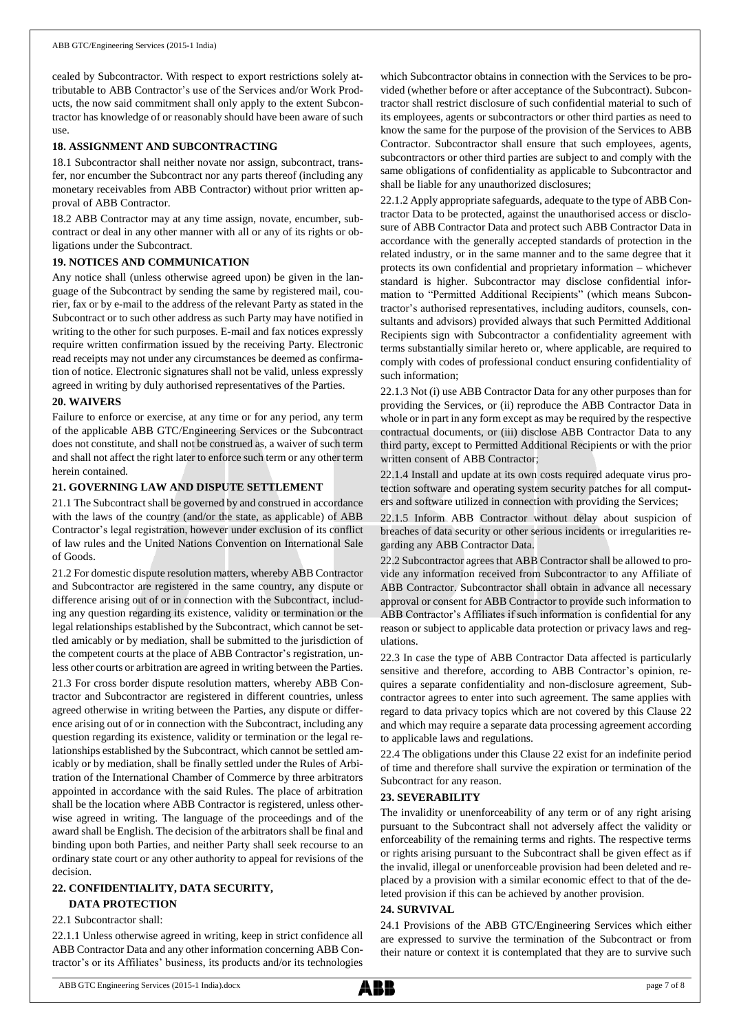cealed by Subcontractor. With respect to export restrictions solely attributable to ABB Contractor's use of the Services and/or Work Products, the now said commitment shall only apply to the extent Subcontractor has knowledge of or reasonably should have been aware of such use.

## **18. ASSIGNMENT AND SUBCONTRACTING**

18.1 Subcontractor shall neither novate nor assign, subcontract, transfer, nor encumber the Subcontract nor any parts thereof (including any monetary receivables from ABB Contractor) without prior written approval of ABB Contractor.

18.2 ABB Contractor may at any time assign, novate, encumber, subcontract or deal in any other manner with all or any of its rights or obligations under the Subcontract.

## **19. NOTICES AND COMMUNICATION**

Any notice shall (unless otherwise agreed upon) be given in the language of the Subcontract by sending the same by registered mail, courier, fax or by e-mail to the address of the relevant Party as stated in the Subcontract or to such other address as such Party may have notified in writing to the other for such purposes. E-mail and fax notices expressly require written confirmation issued by the receiving Party. Electronic read receipts may not under any circumstances be deemed as confirmation of notice. Electronic signatures shall not be valid, unless expressly agreed in writing by duly authorised representatives of the Parties.

#### **20. WAIVERS**

Failure to enforce or exercise, at any time or for any period, any term of the applicable ABB GTC/Engineering Services or the Subcontract does not constitute, and shall not be construed as, a waiver of such term and shall not affect the right later to enforce such term or any other term herein contained.

#### **21. GOVERNING LAW AND DISPUTE SETTLEMENT**

21.1 The Subcontract shall be governed by and construed in accordance with the laws of the country (and/or the state, as applicable) of ABB Contractor's legal registration, however under exclusion of its conflict of law rules and the United Nations Convention on International Sale of Goods.

21.2 For domestic dispute resolution matters, whereby ABB Contractor and Subcontractor are registered in the same country, any dispute or difference arising out of or in connection with the Subcontract, including any question regarding its existence, validity or termination or the legal relationships established by the Subcontract, which cannot be settled amicably or by mediation, shall be submitted to the jurisdiction of the competent courts at the place of ABB Contractor's registration, unless other courts or arbitration are agreed in writing between the Parties.

21.3 For cross border dispute resolution matters, whereby ABB Contractor and Subcontractor are registered in different countries, unless agreed otherwise in writing between the Parties, any dispute or difference arising out of or in connection with the Subcontract, including any question regarding its existence, validity or termination or the legal relationships established by the Subcontract, which cannot be settled amicably or by mediation, shall be finally settled under the Rules of Arbitration of the International Chamber of Commerce by three arbitrators appointed in accordance with the said Rules. The place of arbitration shall be the location where ABB Contractor is registered, unless otherwise agreed in writing. The language of the proceedings and of the award shall be English. The decision of the arbitrators shall be final and binding upon both Parties, and neither Party shall seek recourse to an ordinary state court or any other authority to appeal for revisions of the decision.

# **22. CONFIDENTIALITY, DATA SECURITY,**

# **DATA PROTECTION**

22.1 Subcontractor shall:

22.1.1 Unless otherwise agreed in writing, keep in strict confidence all ABB Contractor Data and any other information concerning ABB Contractor's or its Affiliates' business, its products and/or its technologies which Subcontractor obtains in connection with the Services to be provided (whether before or after acceptance of the Subcontract). Subcontractor shall restrict disclosure of such confidential material to such of its employees, agents or subcontractors or other third parties as need to know the same for the purpose of the provision of the Services to ABB Contractor. Subcontractor shall ensure that such employees, agents, subcontractors or other third parties are subject to and comply with the same obligations of confidentiality as applicable to Subcontractor and shall be liable for any unauthorized disclosures;

22.1.2 Apply appropriate safeguards, adequate to the type of ABB Contractor Data to be protected, against the unauthorised access or disclosure of ABB Contractor Data and protect such ABB Contractor Data in accordance with the generally accepted standards of protection in the related industry, or in the same manner and to the same degree that it protects its own confidential and proprietary information – whichever standard is higher. Subcontractor may disclose confidential information to "Permitted Additional Recipients" (which means Subcontractor's authorised representatives, including auditors, counsels, consultants and advisors) provided always that such Permitted Additional Recipients sign with Subcontractor a confidentiality agreement with terms substantially similar hereto or, where applicable, are required to comply with codes of professional conduct ensuring confidentiality of such information;

22.1.3 Not (i) use ABB Contractor Data for any other purposes than for providing the Services, or (ii) reproduce the ABB Contractor Data in whole or in part in any form except as may be required by the respective contractual documents, or (iii) disclose ABB Contractor Data to any third party, except to Permitted Additional Recipients or with the prior written consent of ABB Contractor;

22.1.4 Install and update at its own costs required adequate virus protection software and operating system security patches for all computers and software utilized in connection with providing the Services;

22.1.5 Inform ABB Contractor without delay about suspicion of breaches of data security or other serious incidents or irregularities regarding any ABB Contractor Data.

22.2 Subcontractor agrees that ABB Contractor shall be allowed to provide any information received from Subcontractor to any Affiliate of ABB Contractor. Subcontractor shall obtain in advance all necessary approval or consent for ABB Contractor to provide such information to ABB Contractor's Affiliates if such information is confidential for any reason or subject to applicable data protection or privacy laws and regulations.

22.3 In case the type of ABB Contractor Data affected is particularly sensitive and therefore, according to ABB Contractor's opinion, requires a separate confidentiality and non-disclosure agreement, Subcontractor agrees to enter into such agreement. The same applies with regard to data privacy topics which are not covered by this Clause 22 and which may require a separate data processing agreement according to applicable laws and regulations.

22.4 The obligations under this Clause 22 exist for an indefinite period of time and therefore shall survive the expiration or termination of the Subcontract for any reason.

## **23. SEVERABILITY**

The invalidity or unenforceability of any term or of any right arising pursuant to the Subcontract shall not adversely affect the validity or enforceability of the remaining terms and rights. The respective terms or rights arising pursuant to the Subcontract shall be given effect as if the invalid, illegal or unenforceable provision had been deleted and replaced by a provision with a similar economic effect to that of the deleted provision if this can be achieved by another provision.

#### **24. SURVIVAL**

24.1 Provisions of the ABB GTC/Engineering Services which either are expressed to survive the termination of the Subcontract or from their nature or context it is contemplated that they are to survive such